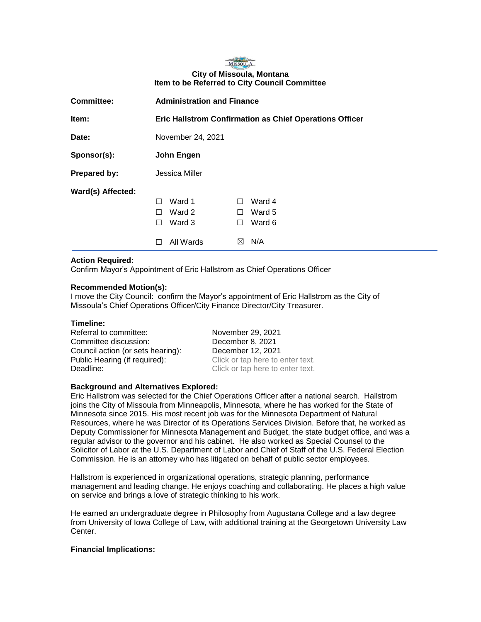## MISSOULA **City of Missoula, Montana Item to be Referred to City Council Committee**

| <b>Committee:</b>   | <b>Administration and Finance</b> |                                                                |  |
|---------------------|-----------------------------------|----------------------------------------------------------------|--|
| Item:               |                                   | <b>Eric Hallstrom Confirmation as Chief Operations Officer</b> |  |
| Date:               | November 24, 2021                 |                                                                |  |
| Sponsor(s):         | John Engen                        |                                                                |  |
| <b>Prepared by:</b> | Jessica Miller                    |                                                                |  |
| Ward(s) Affected:   |                                   |                                                                |  |
|                     | Ward 1<br>П                       | Ward 4<br>П                                                    |  |
|                     | Ward 2<br>$\perp$                 | Ward 5<br>$\perp$                                              |  |
|                     | Ward 3<br>$\mathsf{L}$            | Ward 6<br>⊔                                                    |  |
|                     | All Wards                         | N/A<br>$\bowtie$                                               |  |

### **Action Required:**

Confirm Mayor's Appointment of Eric Hallstrom as Chief Operations Officer

### **Recommended Motion(s):**

I move the City Council: confirm the Mayor's appointment of Eric Hallstrom as the City of Missoula's Chief Operations Officer/City Finance Director/City Treasurer.

### **Timeline:**

Referral to committee: November 29, 2021 Committee discussion: December 8, 2021 Council action (or sets hearing): December 12, 2021 Public Hearing (if required): Click or tap here to enter text. **Deadline:** Click or tap here to enter text.

### **Background and Alternatives Explored:**

Eric Hallstrom was selected for the Chief Operations Officer after a national search. Hallstrom joins the City of Missoula from Minneapolis, Minnesota, where he has worked for the State of Minnesota since 2015. His most recent job was for the Minnesota Department of Natural Resources, where he was Director of its Operations Services Division. Before that, he worked as Deputy Commissioner for Minnesota Management and Budget, the state budget office, and was a regular advisor to the governor and his cabinet. He also worked as Special Counsel to the Solicitor of Labor at the U.S. Department of Labor and Chief of Staff of the U.S. Federal Election Commission. He is an attorney who has litigated on behalf of public sector employees.

Hallstrom is experienced in organizational operations, strategic planning, performance management and leading change. He enjoys coaching and collaborating. He places a high value on service and brings a love of strategic thinking to his work.

He earned an undergraduate degree in Philosophy from Augustana College and a law degree from University of Iowa College of Law, with additional training at the Georgetown University Law Center.

### **Financial Implications:**